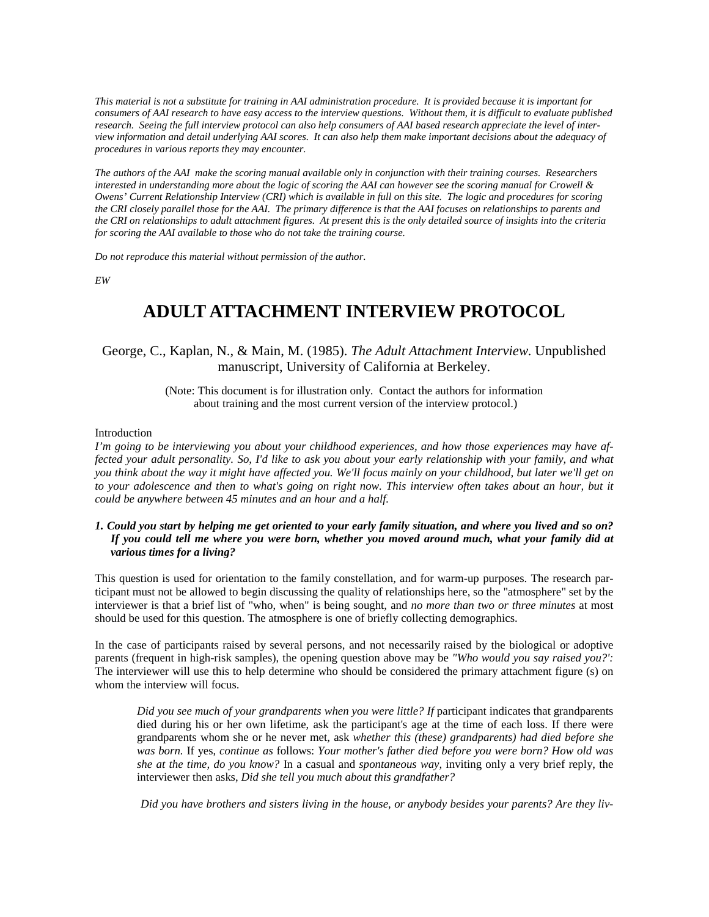*This material is not a substitute for training in AAI administration procedure. It is provided because it is important for consumers of AAI research to have easy access to the interview questions. Without them, it is difficult to evaluate published research. Seeing the full interview protocol can also help consumers of AAI based research appreciate the level of interview information and detail underlying AAI scores. It can also help them make important decisions about the adequacy of procedures in various reports they may encounter.* 

*The authors of the AAI make the scoring manual available only in conjunction with their training courses. Researchers interested in understanding more about the logic of scoring the AAI can however see the scoring manual for Crowell & Owens' Current Relationship Interview (CRI) which is available in full on this site. The logic and procedures for scoring the CRI closely parallel those for the AAI. The primary difference is that the AAI focuses on relationships to parents and the CRI on relationships to adult attachment figures. At present this is the only detailed source of insights into the criteria for scoring the AAI available to those who do not take the training course.* 

*Do not reproduce this material without permission of the author.* 

*EW* 

# **ADULT ATTACHMENT INTERVIEW PROTOCOL**

# George, C., Kaplan, N., & Main, M. (1985). *The Adult Attachment Interview.* Unpublished manuscript, University of California at Berkeley.

(Note: This document is for illustration only. Contact the authors for information about training and the most current version of the interview protocol.)

#### Introduction

*I'm going to be interviewing you about your childhood experiences, and how those experiences may have affected your adult personality. So, I'd like to ask you about your early relationship with your family, and what you think about the way it might have affected you. We'll focus mainly on your childhood, but later we'll get on*  to your adolescence and then to what's going on right now. This interview often takes about an hour, but it *could be anywhere between 45 minutes and an hour and a half.* 

### *1. Could you start by helping me get oriented to your early family situation, and where you lived and so on? If you could tell me where you were born, whether you moved around much, what your family did at various times for a living?*

This question is used for orientation to the family constellation, and for warm-up purposes. The research participant must not be allowed to begin discussing the quality of relationships here, so the "atmosphere" set by the interviewer is that a brief list of "who, when" is being sought, and *no more than two or three minutes* at most should be used for this question. The atmosphere is one of briefly collecting demographics.

In the case of participants raised by several persons, and not necessarily raised by the biological or adoptive parents (frequent in high-risk samples), the opening question above may be *"Who would you say raised you?':*  The interviewer will use this to help determine who should be considered the primary attachment figure (s) on whom the interview will focus.

*Did you see much of your grandparents when you were little? If participant indicates that grandparents* died during his or her own lifetime, ask the participant's age at the time of each loss. If there were grandparents whom she or he never met, ask *whether this (these) grandparents) had died before she was born.* If yes, *continue as* follows: *Your mother's father died before you were born? How old was she at the time, do you know?* In a casual and *spontaneous way,* inviting only a very brief reply, the interviewer then asks, *Did she tell you much about this grandfather?*

*Did you have brothers and sisters living in the house, or anybody besides your parents? Are they liv-*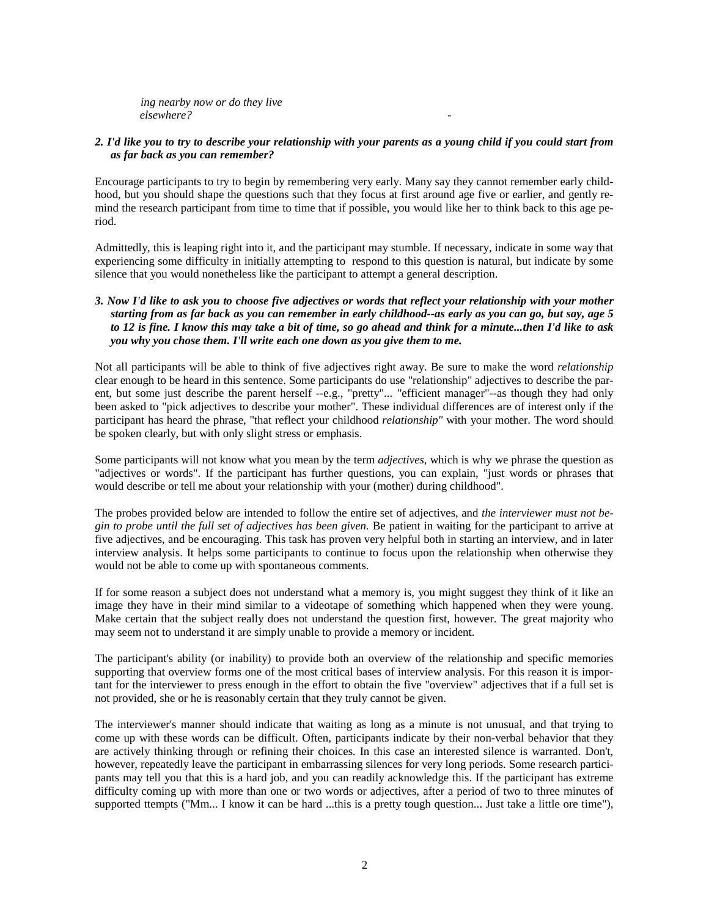*ing nearby now or do they live elsewhere? -* 

### *2. I'd like you to try to describe your relationship with your parents as a young child if you could start from as far back as you can remember?*

Encourage participants to try to begin by remembering very early. Many say they cannot remember early childhood, but you should shape the questions such that they focus at first around age five or earlier, and gently remind the research participant from time to time that if possible, you would like her to think back to this age period.

Admittedly, this is leaping right into it, and the participant may stumble. If necessary, indicate in some way that experiencing some difficulty in initially attempting to respond to this question is natural, but indicate by some silence that you would nonetheless like the participant to attempt a general description.

# *3. Now I'd like to ask you to choose five adjectives or words that reflect your relationship with your mother starting from as far back as you can remember in early childhood--as early as you can go, but say, age 5 to 12 is fine. I know this may take a bit of time, so go ahead and think for a minute...then I'd like to ask you why you chose them. I'll write each one down as you give them to me.*

Not all participants will be able to think of five adjectives right away. Be sure to make the word *relationship*  clear enough to be heard in this sentence. Some participants do use "relationship" adjectives to describe the parent, but some just describe the parent herself --e.g., "pretty"... "efficient manager"--as though they had only been asked to "pick adjectives to describe your mother". These individual differences are of interest only if the participant has heard the phrase, "that reflect your childhood *relationship"* with your mother. The word should be spoken clearly, but with only slight stress or emphasis.

Some participants will not know what you mean by the term *adjectives,* which is why we phrase the question as "adjectives or words". If the participant has further questions, you can explain, "just words or phrases that would describe or tell me about your relationship with your (mother) during childhood".

The probes provided below are intended to follow the entire set of adjectives, and *the interviewer must not begin to probe until the full set of adjectives has been given.* Be patient in waiting for the participant to arrive at five adjectives, and be encouraging. This task has proven very helpful both in starting an interview, and in later interview analysis. It helps some participants to continue to focus upon the relationship when otherwise they would not be able to come up with spontaneous comments.

If for some reason a subject does not understand what a memory is, you might suggest they think of it like an image they have in their mind similar to a videotape of something which happened when they were young. Make certain that the subject really does not understand the question first, however. The great majority who may seem not to understand it are simply unable to provide a memory or incident.

The participant's ability (or inability) to provide both an overview of the relationship and specific memories supporting that overview forms one of the most critical bases of interview analysis. For this reason it is important for the interviewer to press enough in the effort to obtain the five "overview" adjectives that if a full set is not provided, she or he is reasonably certain that they truly cannot be given.

The interviewer's manner should indicate that waiting as long as a minute is not unusual, and that trying to come up with these words can be difficult. Often, participants indicate by their non-verbal behavior that they are actively thinking through or refining their choices. In this case an interested silence is warranted. Don't, however, repeatedly leave the participant in embarrassing silences for very long periods. Some research participants may tell you that this is a hard job, and you can readily acknowledge this. If the participant has extreme difficulty coming up with more than one or two words or adjectives, after a period of two to three minutes of supported ttempts ("Mm... I know it can be hard ...this is a pretty tough question... Just take a little ore time"),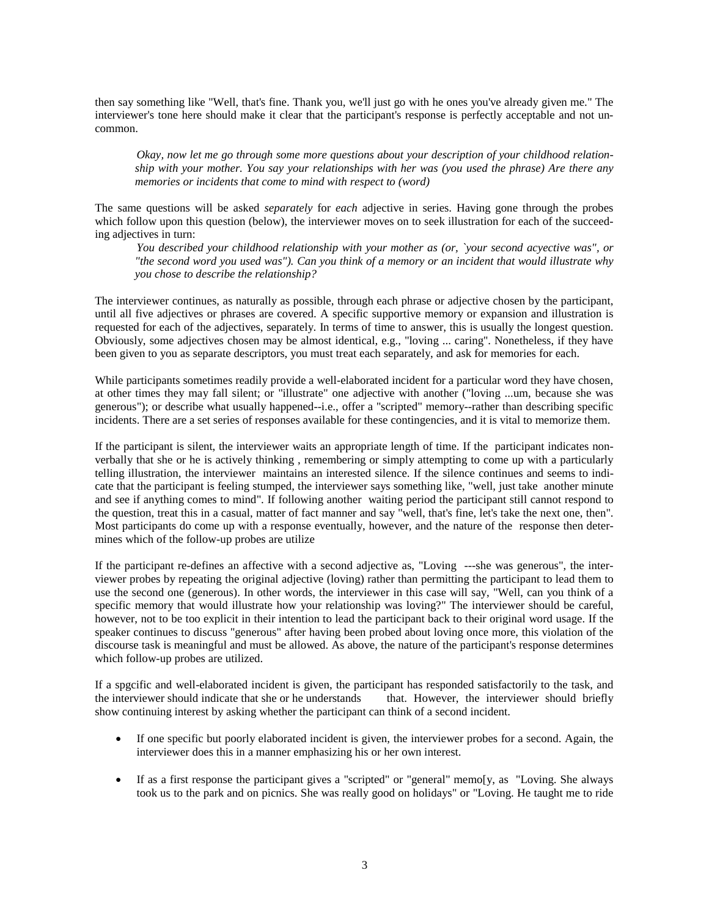then say something like "Well, that's fine. Thank you, we'll just go with he ones you've already given me." The interviewer's tone here should make it clear that the participant's response is perfectly acceptable and not uncommon.

*Okay, now let me go through some more questions about your description of your childhood relationship with your mother. You say your relationships with her was (you used the phrase) Are there any memories or incidents that come to mind with respect to (word)* 

The same questions will be asked *separately* for *each* adjective in series. Having gone through the probes which follow upon this question (below), the interviewer moves on to seek illustration for each of the succeeding adjectives in turn:

*You described your childhood relationship with your mother as (or, `your second acyective was", or "the second word you used was"). Can you think of a memory or an incident that would illustrate why you chose to describe the relationship?* 

The interviewer continues, as naturally as possible, through each phrase or adjective chosen by the participant, until all five adjectives or phrases are covered. A specific supportive memory or expansion and illustration is requested for each of the adjectives, separately. In terms of time to answer, this is usually the longest question. Obviously, some adjectives chosen may be almost identical, e.g., "loving ... caring". Nonetheless, if they have been given to you as separate descriptors, you must treat each separately, and ask for memories for each.

While participants sometimes readily provide a well-elaborated incident for a particular word they have chosen, at other times they may fall silent; or "illustrate" one adjective with another ("loving ...um, because she was generous"); or describe what usually happened--i.e., offer a "scripted" memory--rather than describing specific incidents. There are a set series of responses available for these contingencies, and it is vital to memorize them.

If the participant is silent, the interviewer waits an appropriate length of time. If the participant indicates nonverbally that she or he is actively thinking , remembering or simply attempting to come up with a particularly telling illustration, the interviewer maintains an interested silence. If the silence continues and seems to indicate that the participant is feeling stumped, the interviewer says something like, "well, just take another minute and see if anything comes to mind". If following another waiting period the participant still cannot respond to the question, treat this in a casual, matter of fact manner and say "well, that's fine, let's take the next one, then". Most participants do come up with a response eventually, however, and the nature of the response then determines which of the follow-up probes are utilize

If the participant re-defines an affective with a second adjective as, "Loving ---she was generous", the interviewer probes by repeating the original adjective (loving) rather than permitting the participant to lead them to use the second one (generous). In other words, the interviewer in this case will say, "Well, can you think of a specific memory that would illustrate how your relationship was loving?" The interviewer should be careful, however, not to be too explicit in their intention to lead the participant back to their original word usage. If the speaker continues to discuss "generous" after having been probed about loving once more, this violation of the discourse task is meaningful and must be allowed. As above, the nature of the participant's response determines which follow-up probes are utilized.

If a spgcific and well-elaborated incident is given, the participant has responded satisfactorily to the task, and the interviewer should indicate that she or he understands that. However, the interviewer should briefly show continuing interest by asking whether the participant can think of a second incident.

- If one specific but poorly elaborated incident is given, the interviewer probes for a second. Again, the interviewer does this in a manner emphasizing his or her own interest.
- If as a first response the participant gives a "scripted" or "general" memo[y, as "Loving. She always took us to the park and on picnics. She was really good on holidays" or "Loving. He taught me to ride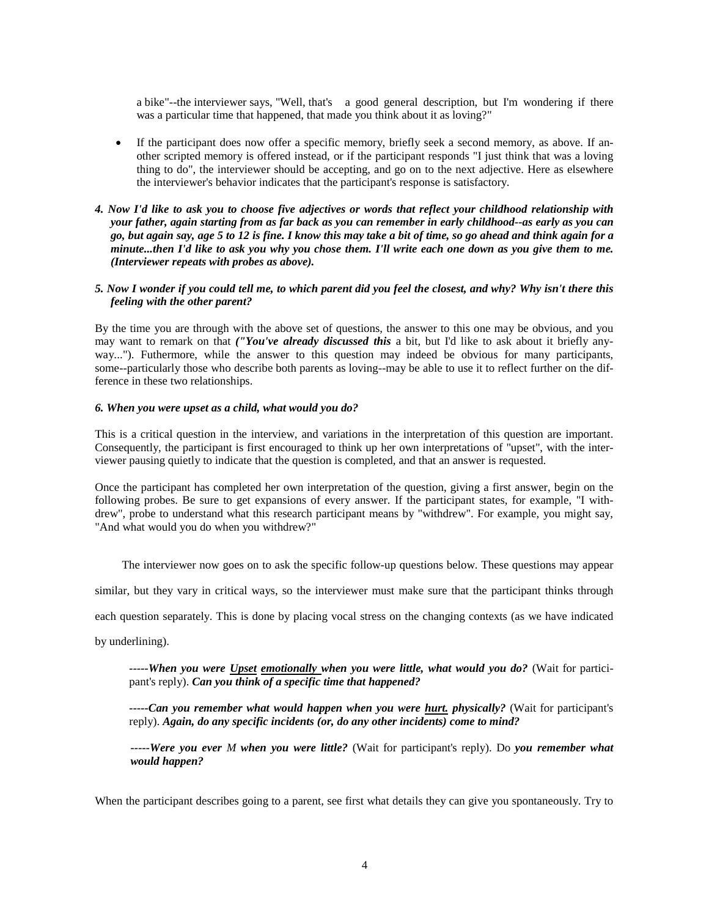a bike"--the interviewer says, "Well, that's a good general description, but I'm wondering if there was a particular time that happened, that made you think about it as loving?"

- If the participant does now offer a specific memory, briefly seek a second memory, as above. If another scripted memory is offered instead, or if the participant responds "I just think that was a loving thing to do", the interviewer should be accepting, and go on to the next adjective. Here as elsewhere the interviewer's behavior indicates that the participant's response is satisfactory.
- *4. Now I'd like to ask you to choose five adjectives or words that reflect your childhood relationship with your father, again starting from as far back as you can remember in early childhood--as early as you can go, but again say, age 5 to 12 is fine. I know this may take a bit of time, so go ahead and think again for a minute...then I'd like to ask you why you chose them. I'll write each one down as you give them to me. (Interviewer repeats with probes as above).*

#### *5. Now I wonder if you could tell me, to which parent did you feel the closest, and why? Why isn't there this feeling with the other parent?*

By the time you are through with the above set of questions, the answer to this one may be obvious, and you may want to remark on that *("You've already discussed this* a bit, but I'd like to ask about it briefly anyway..."). Futhermore, while the answer to this question may indeed be obvious for many participants, some--particularly those who describe both parents as loving--may be able to use it to reflect further on the difference in these two relationships.

#### *6. When you were upset as a child, what would you do?*

This is a critical question in the interview, and variations in the interpretation of this question are important. Consequently, the participant is first encouraged to think up her own interpretations of "upset", with the interviewer pausing quietly to indicate that the question is completed, and that an answer is requested.

Once the participant has completed her own interpretation of the question, giving a first answer, begin on the following probes. Be sure to get expansions of every answer. If the participant states, for example, "I withdrew", probe to understand what this research participant means by "withdrew". For example, you might say, "And what would you do when you withdrew?"

The interviewer now goes on to ask the specific follow-up questions below. These questions may appear

similar, but they vary in critical ways, so the interviewer must make sure that the participant thinks through

each question separately. This is done by placing vocal stress on the changing contexts (as we have indicated

by underlining).

*-----When you were Upset emotionally when you were little, what would you do?* (Wait for participant's reply). *Can you think of a specific time that happened?* 

*-----Can you remember what would happen when you were hurt. physically?* (Wait for participant's reply). *Again, do any specific incidents (or, do any other incidents) come to mind?* 

*-----Were you ever M when you were little?* (Wait for participant's reply). Do *you remember what would happen?* 

When the participant describes going to a parent, see first what details they can give you spontaneously. Try to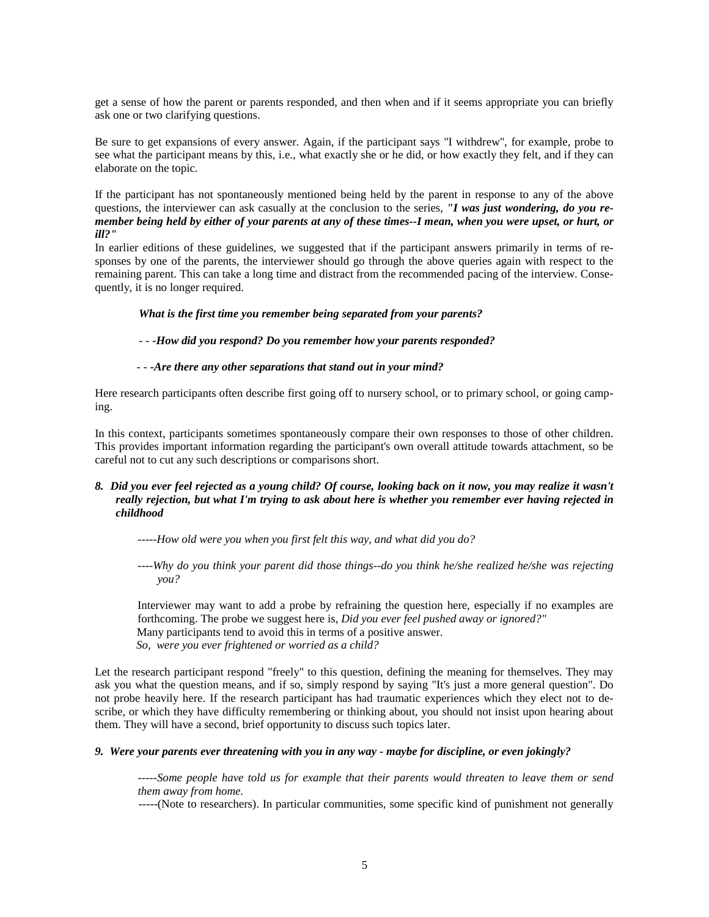get a sense of how the parent or parents responded, and then when and if it seems appropriate you can briefly ask one or two clarifying questions.

Be sure to get expansions of every answer. Again, if the participant says "I withdrew", for example, probe to see what the participant means by this, i.e., what exactly she or he did, or how exactly they felt, and if they can elaborate on the topic.

If the participant has not spontaneously mentioned being held by the parent in response to any of the above questions, the interviewer can ask casually at the conclusion to the series, *"I was just wondering, do you remember being held by either of your parents at any of these times--I mean, when you were upset, or hurt, or ill?"* 

In earlier editions of these guidelines, we suggested that if the participant answers primarily in terms of responses by one of the parents, the interviewer should go through the above queries again with respect to the remaining parent. This can take a long time and distract from the recommended pacing of the interview. Consequently, it is no longer required.

#### *What is the first time you remember being separated from your parents?*

*- - -How did you respond? Do you remember how your parents responded?* 

*- - -Are there any other separations that stand out in your mind?* 

Here research participants often describe first going off to nursery school, or to primary school, or going camping.

In this context, participants sometimes spontaneously compare their own responses to those of other children. This provides important information regarding the participant's own overall attitude towards attachment, so be careful not to cut any such descriptions or comparisons short.

# *8. Did you ever feel rejected as a young child? Of course, looking back on it now, you may realize it wasn't really rejection, but what I'm trying to ask about here is whether you remember ever having rejected in childhood*

*-----How old were you when you first felt this way, and what did you do?* 

*----Why do you think your parent did those things--do you think he/she realized he/she was rejecting you?* 

 Interviewer may want to add a probe by refraining the question here, especially if no examples are forthcoming. The probe we suggest here is, *Did you ever feel pushed away or ignored?"*  Many participants tend to avoid this in terms of a positive answer. *So, were you ever frightened or worried as a child?* 

Let the research participant respond "freely" to this question, defining the meaning for themselves. They may ask you what the question means, and if so, simply respond by saying "It's just a more general question". Do not probe heavily here. If the research participant has had traumatic experiences which they elect not to describe, or which they have difficulty remembering or thinking about, you should not insist upon hearing about them. They will have a second, brief opportunity to discuss such topics later.

#### *9. Were your parents ever threatening with you in any way - maybe for discipline, or even jokingly?*

*-----Some people have told us for example that their parents would threaten to leave them or send them away from home.* 

-----(Note to researchers). In particular communities, some specific kind of punishment not generally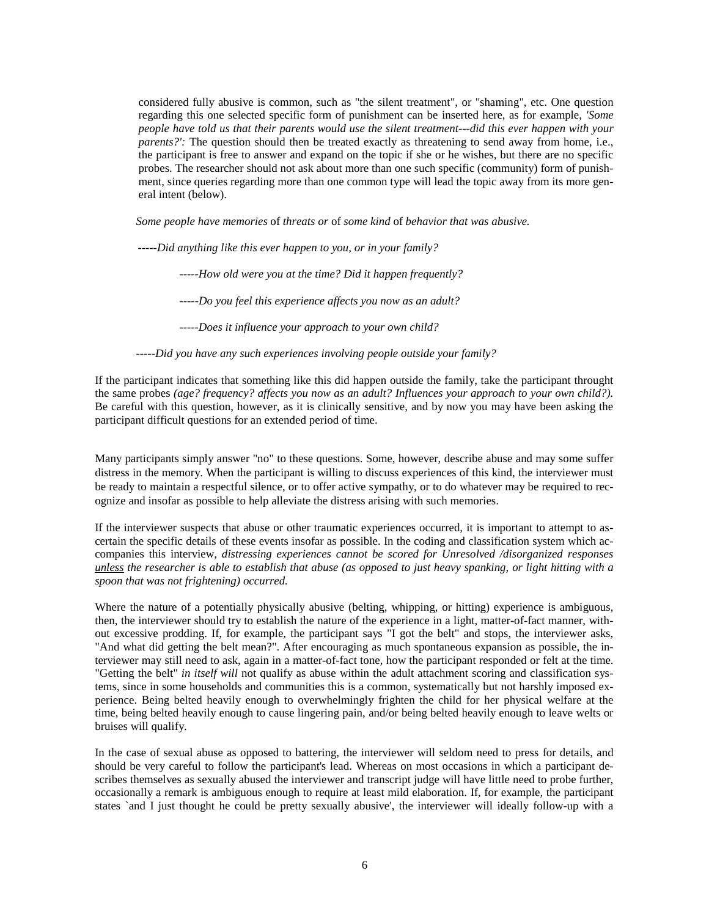considered fully abusive is common, such as "the silent treatment", or "shaming", etc. One question regarding this one selected specific form of punishment can be inserted here, as for example, *'Some people have told us that their parents would use the silent treatment---did this ever happen with your parents?':* The question should then be treated exactly as threatening to send away from home, i.e., the participant is free to answer and expand on the topic if she or he wishes, but there are no specific probes. The researcher should not ask about more than one such specific (community) form of punishment, since queries regarding more than one common type will lead the topic away from its more general intent (below).

*Some people have memories* of *threats or* of *some kind* of *behavior that was abusive.* 

*-----Did anything like this ever happen to you, or in your family?* 

*-----How old were you at the time? Did it happen frequently?* 

*-----Do you feel this experience affects you now as an adult?* 

*-----Does it influence your approach to your own child?* 

*-----Did you have any such experiences involving people outside your family?* 

If the participant indicates that something like this did happen outside the family, take the participant throught the same probes *(age? frequency? affects you now as an adult? Influences your approach to your own child?).*  Be careful with this question, however, as it is clinically sensitive, and by now you may have been asking the participant difficult questions for an extended period of time.

Many participants simply answer "no" to these questions. Some, however, describe abuse and may some suffer distress in the memory. When the participant is willing to discuss experiences of this kind, the interviewer must be ready to maintain a respectful silence, or to offer active sympathy, or to do whatever may be required to recognize and insofar as possible to help alleviate the distress arising with such memories.

If the interviewer suspects that abuse or other traumatic experiences occurred, it is important to attempt to ascertain the specific details of these events insofar as possible. In the coding and classification system which accompanies this interview, *distressing experiences cannot be scored for Unresolved /disorganized responses unless the researcher is able to establish that abuse (as opposed to just heavy spanking, or light hitting with a spoon that was not frightening) occurred.* 

Where the nature of a potentially physically abusive (belting, whipping, or hitting) experience is ambiguous, then, the interviewer should try to establish the nature of the experience in a light, matter-of-fact manner, without excessive prodding. If, for example, the participant says "I got the belt" and stops, the interviewer asks, "And what did getting the belt mean?". After encouraging as much spontaneous expansion as possible, the interviewer may still need to ask, again in a matter-of-fact tone, how the participant responded or felt at the time. "Getting the belt" *in itself will* not qualify as abuse within the adult attachment scoring and classification systems, since in some households and communities this is a common, systematically but not harshly imposed experience. Being belted heavily enough to overwhelmingly frighten the child for her physical welfare at the time, being belted heavily enough to cause lingering pain, and/or being belted heavily enough to leave welts or bruises will qualify.

In the case of sexual abuse as opposed to battering, the interviewer will seldom need to press for details, and should be very careful to follow the participant's lead. Whereas on most occasions in which a participant describes themselves as sexually abused the interviewer and transcript judge will have little need to probe further, occasionally a remark is ambiguous enough to require at least mild elaboration. If, for example, the participant states `and I just thought he could be pretty sexually abusive', the interviewer will ideally follow-up with a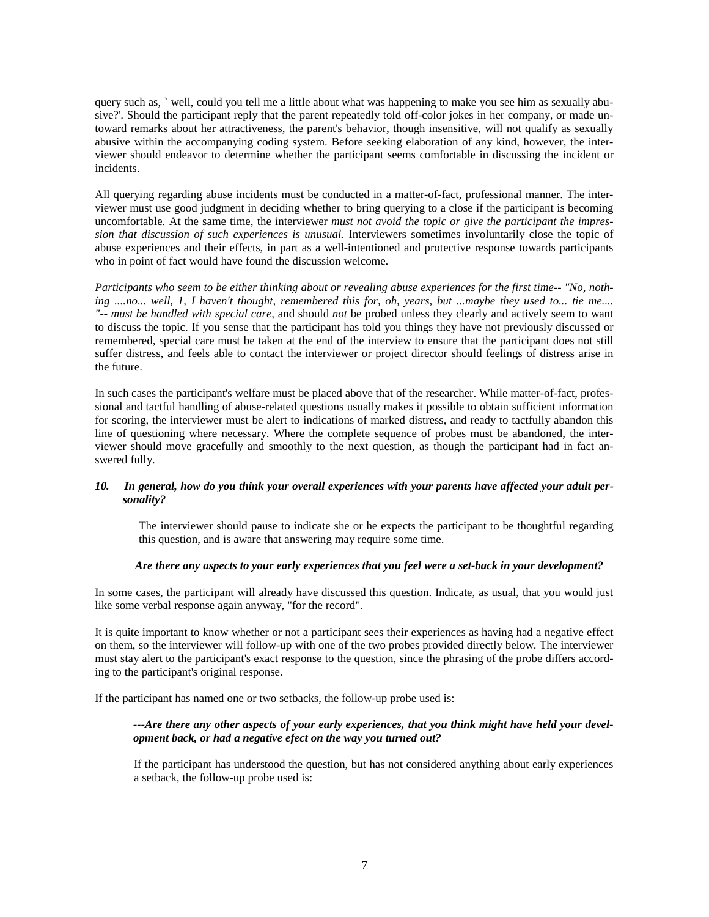query such as, ` well, could you tell me a little about what was happening to make you see him as sexually abusive?'. Should the participant reply that the parent repeatedly told off-color jokes in her company, or made untoward remarks about her attractiveness, the parent's behavior, though insensitive, will not qualify as sexually abusive within the accompanying coding system. Before seeking elaboration of any kind, however, the interviewer should endeavor to determine whether the participant seems comfortable in discussing the incident or incidents.

All querying regarding abuse incidents must be conducted in a matter-of-fact, professional manner. The interviewer must use good judgment in deciding whether to bring querying to a close if the participant is becoming uncomfortable. At the same time, the interviewer *must not avoid the topic or give the participant the impression that discussion of such experiences is unusual.* Interviewers sometimes involuntarily close the topic of abuse experiences and their effects, in part as a well-intentioned and protective response towards participants who in point of fact would have found the discussion welcome.

*Participants who seem to be either thinking about or revealing abuse experiences for the first time-- "No, nothing ....no... well, 1, I haven't thought, remembered this for, oh, years, but ...maybe they used to... tie me.... "-- must be handled with special care,* and should *not* be probed unless they clearly and actively seem to want to discuss the topic. If you sense that the participant has told you things they have not previously discussed or remembered, special care must be taken at the end of the interview to ensure that the participant does not still suffer distress, and feels able to contact the interviewer or project director should feelings of distress arise in the future.

In such cases the participant's welfare must be placed above that of the researcher. While matter-of-fact, professional and tactful handling of abuse-related questions usually makes it possible to obtain sufficient information for scoring, the interviewer must be alert to indications of marked distress, and ready to tactfully abandon this line of questioning where necessary. Where the complete sequence of probes must be abandoned, the interviewer should move gracefully and smoothly to the next question, as though the participant had in fact answered fully.

# *10. In general, how do you think your overall experiences with your parents have affected your adult personality?*

 The interviewer should pause to indicate she or he expects the participant to be thoughtful regarding this question, and is aware that answering may require some time.

# *Are there any aspects to your early experiences that you feel were a set-back in your development?*

In some cases, the participant will already have discussed this question. Indicate, as usual, that you would just like some verbal response again anyway, "for the record".

It is quite important to know whether or not a participant sees their experiences as having had a negative effect on them, so the interviewer will follow-up with one of the two probes provided directly below. The interviewer must stay alert to the participant's exact response to the question, since the phrasing of the probe differs according to the participant's original response.

If the participant has named one or two setbacks, the follow-up probe used is:

# *---Are there any other aspects of your early experiences, that you think might have held your development back, or had a negative efect on the way you turned out?*

If the participant has understood the question, but has not considered anything about early experiences a setback, the follow-up probe used is: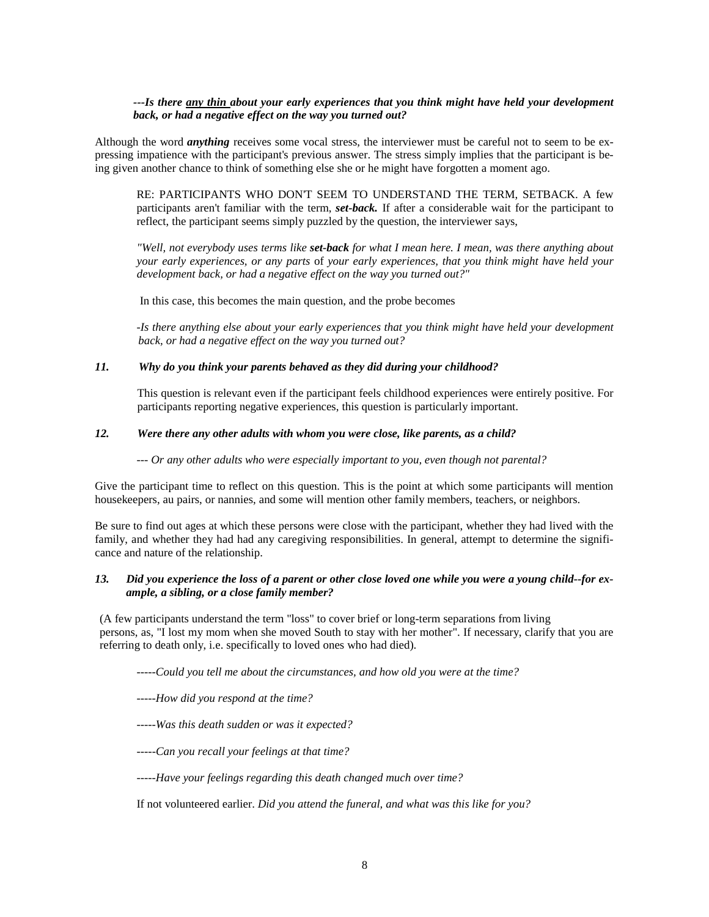#### *---Is there any thin about your early experiences that you think might have held your development back, or had a negative effect on the way you turned out?*

Although the word *anything* receives some vocal stress, the interviewer must be careful not to seem to be expressing impatience with the participant's previous answer. The stress simply implies that the participant is being given another chance to think of something else she or he might have forgotten a moment ago.

RE: PARTICIPANTS WHO DON'T SEEM TO UNDERSTAND THE TERM, SETBACK. A few participants aren't familiar with the term, *set-back.* If after a considerable wait for the participant to reflect, the participant seems simply puzzled by the question, the interviewer says,

*"Well, not everybody uses terms like set-back for what I mean here. I mean, was there anything about your early experiences, or any parts* of *your early experiences, that you think might have held your development back, or had a negative effect on the way you turned out?"* 

In this case, this becomes the main question, and the probe becomes

*-Is there anything else about your early experiences that you think might have held your development back, or had a negative effect on the way you turned out?* 

#### *11. Why do you think your parents behaved as they did during your childhood?*

 This question is relevant even if the participant feels childhood experiences were entirely positive. For participants reporting negative experiences, this question is particularly important.

# *12. Were there any other adults with whom you were close, like parents, as a child?*

*--- Or any other adults who were especially important to you, even though not parental?* 

Give the participant time to reflect on this question. This is the point at which some participants will mention housekeepers, au pairs, or nannies, and some will mention other family members, teachers, or neighbors.

Be sure to find out ages at which these persons were close with the participant, whether they had lived with the family, and whether they had had any caregiving responsibilities. In general, attempt to determine the significance and nature of the relationship.

# *13. Did you experience the loss of a parent or other close loved one while you were a young child--for example, a sibling, or a close family member?*

(A few participants understand the term "loss" to cover brief or long-term separations from living persons, as, "I lost my mom when she moved South to stay with her mother". If necessary, clarify that you are referring to death only, i.e. specifically to loved ones who had died).

*-----Could you tell me about the circumstances, and how old you were at the time?* 

*-----How did you respond at the time?* 

*-----Was this death sudden or was it expected?* 

*-----Can you recall your feelings at that time?* 

*-----Have your feelings regarding this death changed much over time?* 

If not volunteered earlier. *Did you attend the funeral, and what was this like for you?*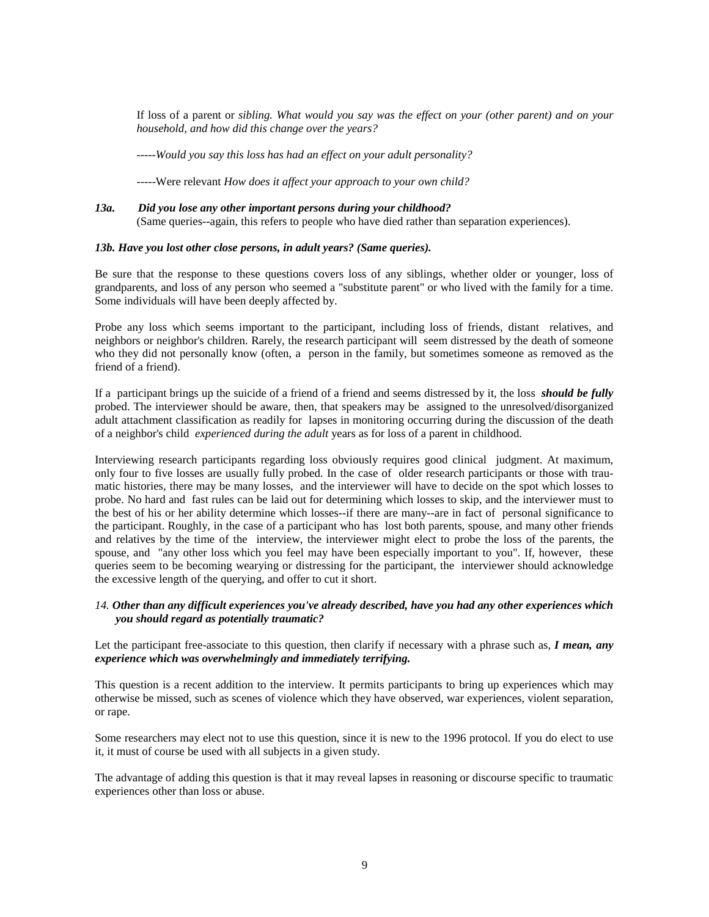If loss of a parent or *sibling. What would you say was the effect on your (other parent) and on your household, and how did this change over the years?* 

*-----Would you say this loss has had an effect on your adult personality?* 

-----Were relevant *How does it affect your approach to your own child?* 

# *13a. Did you lose any other important persons during your childhood?*  (Same queries--again, this refers to people who have died rather than separation experiences).

# *13b. Have you lost other close persons, in adult years? (Same queries).*

Be sure that the response to these questions covers loss of any siblings, whether older or younger, loss of grandparents, and loss of any person who seemed a "substitute parent" or who lived with the family for a time. Some individuals will have been deeply affected by.

Probe any loss which seems important to the participant, including loss of friends, distant relatives, and neighbors or neighbor's children. Rarely, the research participant will seem distressed by the death of someone who they did not personally know (often, a person in the family, but sometimes someone as removed as the friend of a friend).

If a participant brings up the suicide of a friend of a friend and seems distressed by it, the loss *should be fully*  probed. The interviewer should be aware, then, that speakers may be assigned to the unresolved/disorganized adult attachment classification as readily for lapses in monitoring occurring during the discussion of the death of a neighbor's child *experienced during the adult* years as for loss of a parent in childhood.

Interviewing research participants regarding loss obviously requires good clinical judgment. At maximum, only four to five losses are usually fully probed. In the case of older research participants or those with traumatic histories, there may be many losses, and the interviewer will have to decide on the spot which losses to probe. No hard and fast rules can be laid out for determining which losses to skip, and the interviewer must to the best of his or her ability determine which losses--if there are many--are in fact of personal significance to the participant. Roughly, in the case of a participant who has lost both parents, spouse, and many other friends and relatives by the time of the interview, the interviewer might elect to probe the loss of the parents, the spouse, and "any other loss which you feel may have been especially important to you". If, however, these queries seem to be becoming wearying or distressing for the participant, the interviewer should acknowledge the excessive length of the querying, and offer to cut it short.

# *14. Other than any difficult experiences you've already described, have you had any other experiences which you should regard as potentially traumatic?*

Let the participant free-associate to this question, then clarify if necessary with a phrase such as, *I mean, any experience which was overwhelmingly and immediately terrifying.*

This question is a recent addition to the interview. It permits participants to bring up experiences which may otherwise be missed, such as scenes of violence which they have observed, war experiences, violent separation, or rape.

Some researchers may elect not to use this question, since it is new to the 1996 protocol. If you do elect to use it, it must of course be used with all subjects in a given study.

The advantage of adding this question is that it may reveal lapses in reasoning or discourse specific to traumatic experiences other than loss or abuse.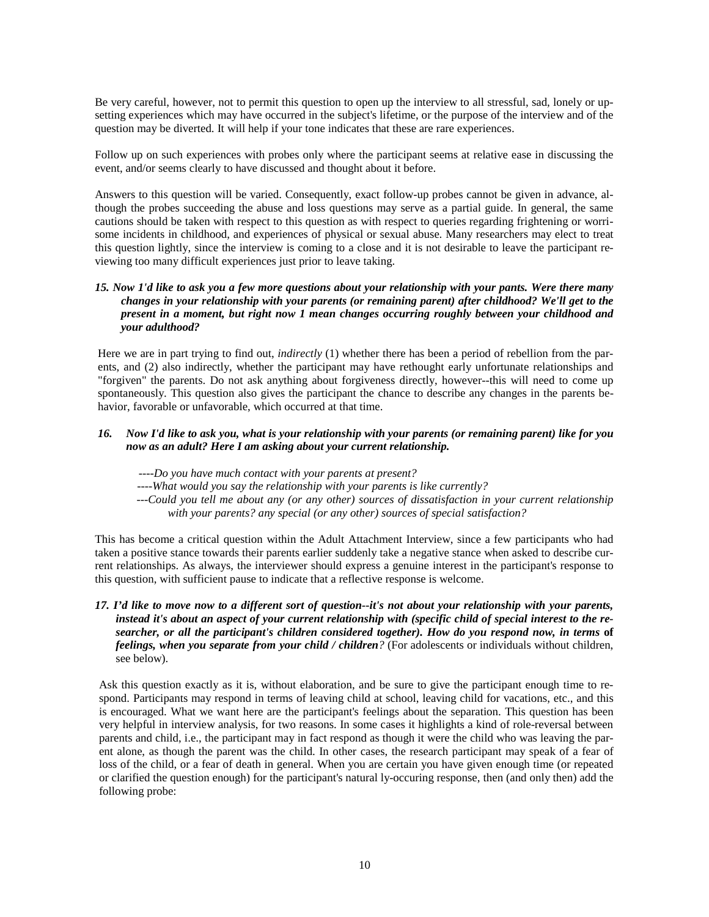Be very careful, however, not to permit this question to open up the interview to all stressful, sad, lonely or upsetting experiences which may have occurred in the subject's lifetime, or the purpose of the interview and of the question may be diverted. It will help if your tone indicates that these are rare experiences.

Follow up on such experiences with probes only where the participant seems at relative ease in discussing the event, and/or seems clearly to have discussed and thought about it before.

Answers to this question will be varied. Consequently, exact follow-up probes cannot be given in advance, although the probes succeeding the abuse and loss questions may serve as a partial guide. In general, the same cautions should be taken with respect to this question as with respect to queries regarding frightening or worrisome incidents in childhood, and experiences of physical or sexual abuse. Many researchers may elect to treat this question lightly, since the interview is coming to a close and it is not desirable to leave the participant reviewing too many difficult experiences just prior to leave taking.

# *15. Now 1'd like to ask you a few more questions about your relationship with your pants. Were there many changes in your relationship with your parents (or remaining parent) after childhood? We'll get to the present in a moment, but right now 1 mean changes occurring roughly between your childhood and your adulthood?*

Here we are in part trying to find out, *indirectly* (1) whether there has been a period of rebellion from the parents, and (2) also indirectly, whether the participant may have rethought early unfortunate relationships and "forgiven" the parents. Do not ask anything about forgiveness directly, however--this will need to come up spontaneously. This question also gives the participant the chance to describe any changes in the parents behavior, favorable or unfavorable, which occurred at that time.

# *16. Now I'd like to ask you, what is your relationship with your parents (or remaining parent) like for you now as an adult? Here I am asking about your current relationship.*

*----Do you have much contact with your parents at present?* 

*----What would you say the relationship with your parents is like currently?* 

*---Could you tell me about any (or any other) sources of dissatisfaction in your current relationship with your parents? any special (or any other) sources of special satisfaction?* 

This has become a critical question within the Adult Attachment Interview, since a few participants who had taken a positive stance towards their parents earlier suddenly take a negative stance when asked to describe current relationships. As always, the interviewer should express a genuine interest in the participant's response to this question, with sufficient pause to indicate that a reflective response is welcome.

# *17. I'd like to move now to a different sort of question--it's not about your relationship with your parents, instead it's about an aspect of your current relationship with (specific child of special interest to the researcher, or all the participant's children considered together). How do you respond now, in terms* **of**  *feelings, when you separate from your child / children?* (For adolescents or individuals without children, see below).

Ask this question exactly as it is, without elaboration, and be sure to give the participant enough time to respond. Participants may respond in terms of leaving child at school, leaving child for vacations, etc., and this is encouraged. What we want here are the participant's feelings about the separation. This question has been very helpful in interview analysis, for two reasons. In some cases it highlights a kind of role-reversal between parents and child, i.e., the participant may in fact respond as though it were the child who was leaving the parent alone, as though the parent was the child. In other cases, the research participant may speak of a fear of loss of the child, or a fear of death in general. When you are certain you have given enough time (or repeated or clarified the question enough) for the participant's natural ly-occuring response, then (and only then) add the following probe: